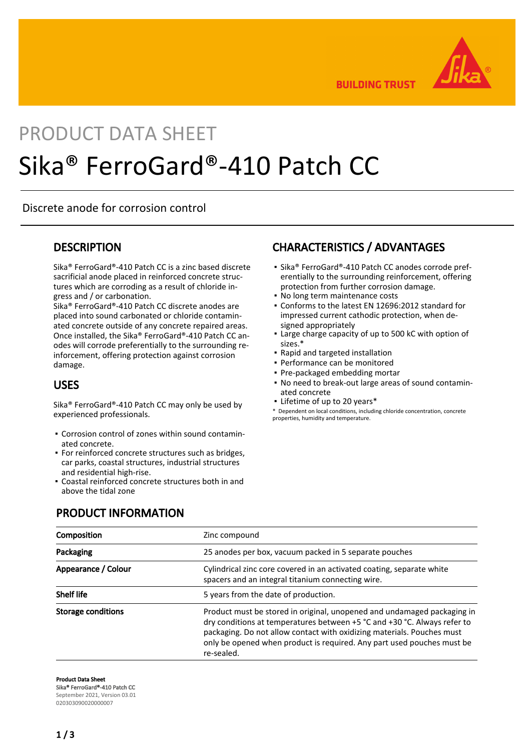

**BUILDING TRUST** 

# PRODUCT DATA SHEET Sika® FerroGard®-410 Patch CC

Discrete anode for corrosion control

#### **DESCRIPTION**

Sika® FerroGard®-410 Patch CC is a zinc based discrete sacrificial anode placed in reinforced concrete structures which are corroding as a result of chloride ingress and / or carbonation.

Sika® FerroGard®-410 Patch CC discrete anodes are placed into sound carbonated or chloride contaminated concrete outside of any concrete repaired areas. Once installed, the Sika® FerroGard®-410 Patch CC anodes will corrode preferentially to the surrounding reinforcement, offering protection against corrosion damage.

#### USES

Sika® FerroGard®-410 Patch CC may only be used by experienced professionals.

- Corrosion control of zones within sound contamin-▪ ated concrete.
- **For reinforced concrete structures such as bridges,** car parks, coastal structures, industrial structures and residential high-rise.
- Coastal reinforced concrete structures both in and above the tidal zone

# CHARACTERISTICS / ADVANTAGES

- Sika® FerroGard®-410 Patch CC anodes corrode preferentially to the surrounding reinforcement, offering protection from further corrosion damage.
- No long term maintenance costs
- Conforms to the latest EN 12696:2012 standard for impressed current cathodic protection, when designed appropriately
- Large charge capacity of up to 500 kC with option of sizes.\*
- Rapid and targeted installation
- Performance can be monitored
- Pre-packaged embedding mortar
- No need to break-out large areas of sound contamin-▪ ated concrete
- Lifetime of up to 20 years\*

\* Dependent on local conditions, including chloride concentration, concrete properties, humidity and temperature.

#### PRODUCT INFORMATION

| Composition               | Zinc compound                                                                                                                                                                                                                                                                                                         |  |
|---------------------------|-----------------------------------------------------------------------------------------------------------------------------------------------------------------------------------------------------------------------------------------------------------------------------------------------------------------------|--|
| Packaging                 | 25 anodes per box, vacuum packed in 5 separate pouches                                                                                                                                                                                                                                                                |  |
| Appearance / Colour       | Cylindrical zinc core covered in an activated coating, separate white<br>spacers and an integral titanium connecting wire.                                                                                                                                                                                            |  |
| <b>Shelf life</b>         | 5 years from the date of production.                                                                                                                                                                                                                                                                                  |  |
| <b>Storage conditions</b> | Product must be stored in original, unopened and undamaged packaging in<br>dry conditions at temperatures between +5 °C and +30 °C. Always refer to<br>packaging. Do not allow contact with oxidizing materials. Pouches must<br>only be opened when product is required. Any part used pouches must be<br>re-sealed. |  |

Product Data Sheet

Sika® FerroGard®-410 Patch CC September 2021, Version 03.01

020303090020000007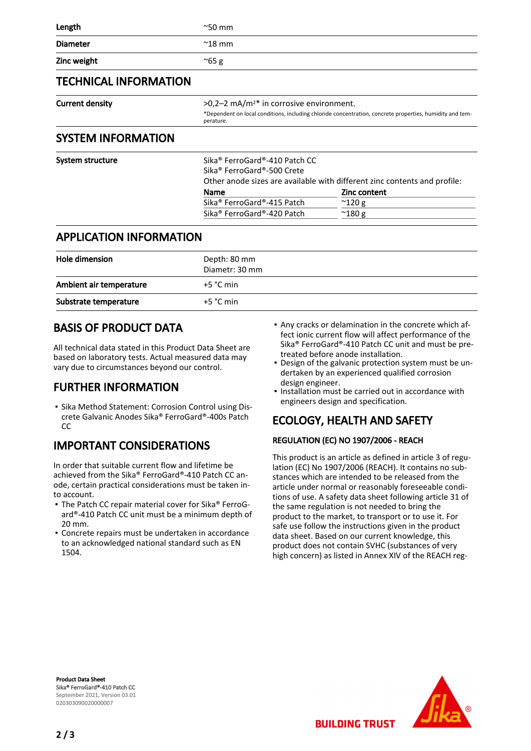| $^{\sim}50$ mm                                                                                                        |  |
|-----------------------------------------------------------------------------------------------------------------------|--|
| $^{\sim}$ 18 mm                                                                                                       |  |
| $^{\sim}65$ g                                                                                                         |  |
|                                                                                                                       |  |
| $>0.2-2$ mA/m <sup>2*</sup> in corrosive environment.                                                                 |  |
| *Dependent on local conditions, including chloride concentration, concrete properties, humidity and tem-<br>perature. |  |
|                                                                                                                       |  |

#### SYSTEM INFORMATION

| System structure | Sika <sup>®</sup> FerroGard®-410 Patch CC<br>Sika® FerroGard®-500 Crete | Other anode sizes are available with different zinc contents and profile: |
|------------------|-------------------------------------------------------------------------|---------------------------------------------------------------------------|
|                  | <b>Name</b>                                                             | Zinc content                                                              |
|                  | Sika® FerroGard®-415 Patch                                              | $^{\sim}$ 120 g                                                           |
|                  | Sika® FerroGard®-420 Patch                                              | $^{\sim}$ 180 g                                                           |
|                  |                                                                         |                                                                           |

#### APPLICATION INFORMATION

| Hole dimension          | Depth: 80 mm<br>Diametr: 30 mm |
|-------------------------|--------------------------------|
| Ambient air temperature | $+5 °C$ min                    |
| Substrate temperature   | $+5 °C$ min                    |

## BASIS OF PRODUCT DATA

All technical data stated in this Product Data Sheet are based on laboratory tests. Actual measured data may vary due to circumstances beyond our control.

# FURTHER INFORMATION

**.** Sika Method Statement: Corrosion Control using Discrete Galvanic Anodes Sika® FerroGard®-400s Patch  $CC$ 

# IMPORTANT CONSIDERATIONS

In order that suitable current flow and lifetime be achieved from the Sika® FerroGard®-410 Patch CC anode, certain practical considerations must be taken into account.

- **The Patch CC repair material cover for Sika® FerroG**ard®-410 Patch CC unit must be a minimum depth of 20 mm.
- **Concrete repairs must be undertaken in accordance** to an acknowledged national standard such as EN 1504.
- Any cracks or delamination in the concrete which af-▪ fect ionic current flow will affect performance of the Sika® FerroGard®-410 Patch CC unit and must be pretreated before anode installation.
- Design of the galvanic protection system must be un-▪ dertaken by an experienced qualified corrosion design engineer.
- . Installation must be carried out in accordance with engineers design and specification.

# ECOLOGY, HEALTH AND SAFETY

#### REGULATION (EC) NO 1907/2006 - REACH

This product is an article as defined in article 3 of regulation (EC) No 1907/2006 (REACH). It contains no substances which are intended to be released from the article under normal or reasonably foreseeable conditions of use. A safety data sheet following article 31 of the same regulation is not needed to bring the product to the market, to transport or to use it. For safe use follow the instructions given in the product data sheet. Based on our current knowledge, this product does not contain SVHC (substances of very high concern) as listed in Annex XIV of the REACH reg-

**BUILDING TRUST** 

Product Data Sheet Sika® FerroGard®-410 Patch CC September 2021, Version 03.01 020303090020000007